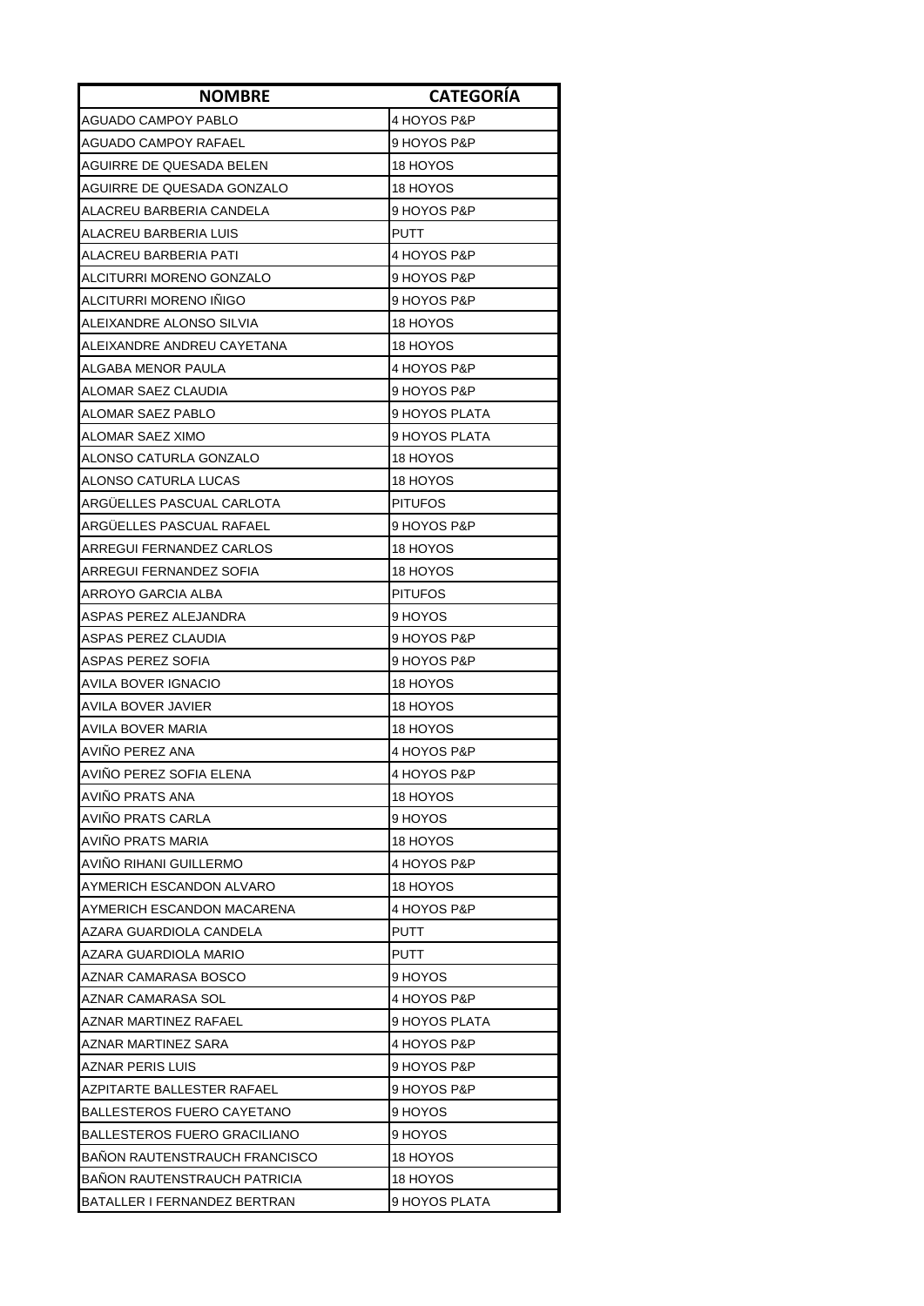| <b>NOMBRE</b>                       | <b>CATEGORÍA</b> |
|-------------------------------------|------------------|
| AGUADO CAMPOY PABLO                 | 4 HOYOS P&P      |
| AGUADO CAMPOY RAFAEL                | 9 HOYOS P&P      |
| AGUIRRE DE QUESADA BELEN            | 18 HOYOS         |
| AGUIRRE DE QUESADA GONZALO          | 18 HOYOS         |
| ALACREU BARBERIA CANDELA            | 9 HOYOS P&P      |
| ALACREU BARBERIA LUIS               | PUTT             |
| ALACREU BARBERIA PATI               | 4 HOYOS P&P      |
| ALCITURRI MORENO GONZALO            | 9 HOYOS P&P      |
| ALCITURRI MORENO IÑIGO              | 9 HOYOS P&P      |
| ALEIXANDRE ALONSO SILVIA            | 18 HOYOS         |
| ALEIXANDRE ANDREU CAYETANA          | 18 HOYOS         |
| ALGABA MENOR PAULA                  | 4 HOYOS P&P      |
| ALOMAR SAEZ CLAUDIA                 | 9 HOYOS P&P      |
| ALOMAR SAEZ PABLO                   | 9 HOYOS PLATA    |
| ALOMAR SAEZ XIMO                    | 9 HOYOS PLATA    |
| ALONSO CATURLA GONZALO              | 18 HOYOS         |
| ALONSO CATURLA LUCAS                | 18 HOYOS         |
| ARGUELLES PASCUAL CARLOTA           | <b>PITUFOS</b>   |
| ARGUELLES PASCUAL RAFAEL            | 9 HOYOS P&P      |
| ARREGUI FERNANDEZ CARLOS            | 18 HOYOS         |
| ARREGUI FERNANDEZ SOFIA             | 18 HOYOS         |
| ARROYO GARCIA ALBA                  | <b>PITUFOS</b>   |
| ASPAS PEREZ ALEJANDRA               | 9 HOYOS          |
| ASPAS PEREZ CLAUDIA                 | 9 HOYOS P&P      |
| ASPAS PEREZ SOFIA                   | 9 HOYOS P&P      |
| AVILA BOVER IGNACIO                 | 18 HOYOS         |
| AVILA BOVER JAVIER                  | 18 HOYOS         |
| AVILA BOVER MARIA                   | 18 HOYOS         |
| <b>AVINO PEREZ ANA</b>              | 4 HOYOS P&P      |
| AVIÑO PEREZ SOFIA ELENA             | 4 HOYOS P&P      |
| AVIÑO PRATS ANA                     | 18 HOYOS         |
| AVINO PRATS CARLA                   | 9 HOYOS          |
| AVINO PRATS MARIA                   | 18 HOYOS         |
| AVINO RIHANI GUILLERMO              | 4 HOYOS P&P      |
| AYMERICH ESCANDON ALVARO            | 18 HOYOS         |
| AYMERICH ESCANDON MACARENA          | 4 HOYOS P&P      |
| AZARA GUARDIOLA CANDELA             | PUTT             |
| AZARA GUARDIOLA MARIO               | <b>PUTT</b>      |
| AZNAR CAMARASA BOSCO                | 9 HOYOS          |
| AZNAR CAMARASA SOL                  | 4 HOYOS P&P      |
| AZNAR MARTINEZ RAFAEL               | 9 HOYOS PLATA    |
| AZNAR MARTINEZ SARA                 | 4 HOYOS P&P      |
| AZNAR PERIS LUIS                    | 9 HOYOS P&P      |
| AZPITARTE BALLESTER RAFAEL          | 9 HOYOS P&P      |
| <b>BALLESTEROS FUERO CAYETANO</b>   | 9 HOYOS          |
| BALLESTEROS FUERO GRACILIANO        | 9 HOYOS          |
| IBANON RAUTENSTRAUCH FRANCISCO      | 18 HOYOS         |
| <b>BANON RAUTENSTRAUCH PATRICIA</b> | 18 HOYOS         |
| BATALLER I FERNANDEZ BERTRAN        | 9 HOYOS PLATA    |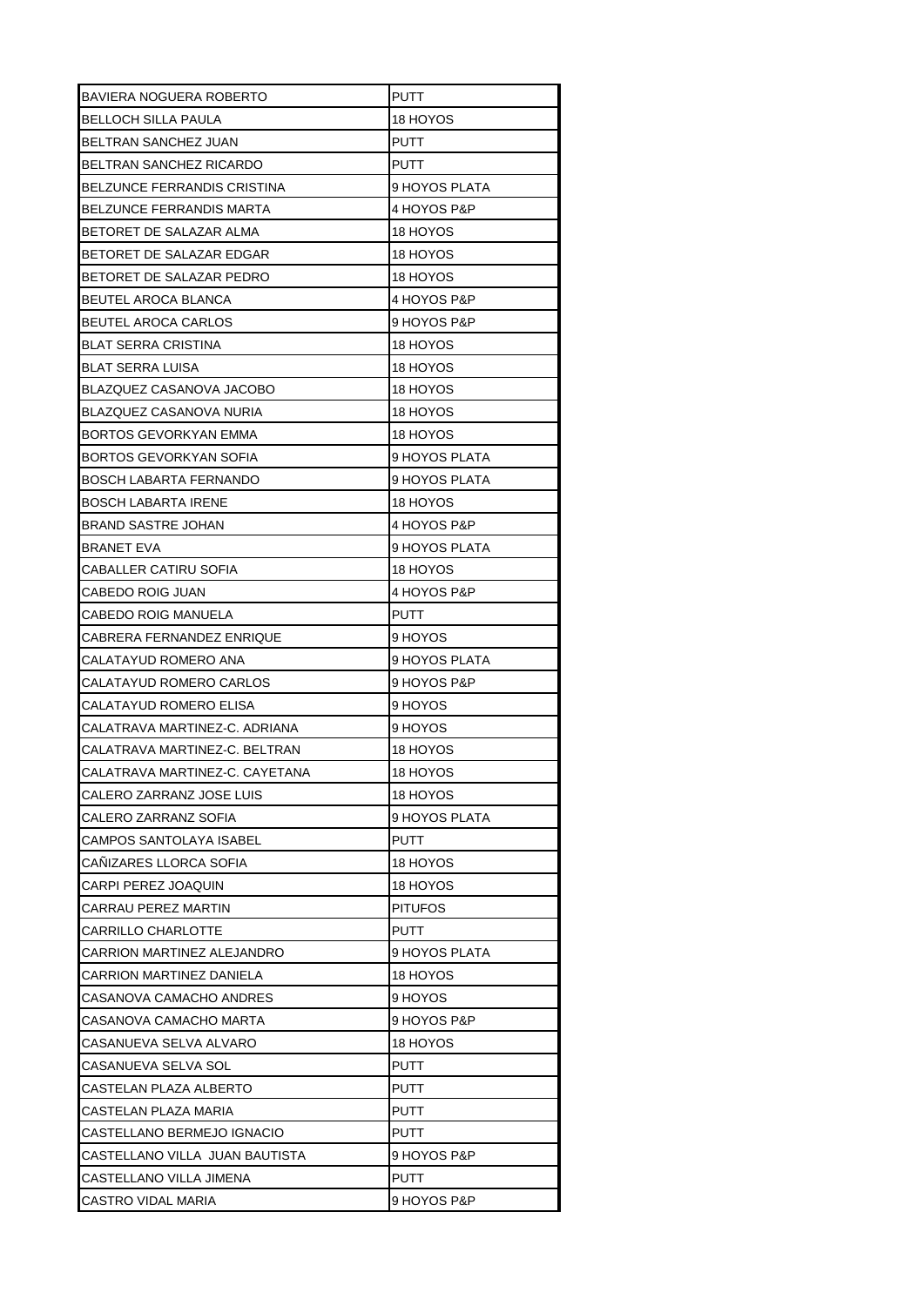| <b>BAVIERA NOGUERA ROBERTO</b> | PUTT           |
|--------------------------------|----------------|
| BELLOCH SILLA PAULA            | 18 HOYOS       |
| BELTRAN SANCHEZ JUAN           | PUTT           |
| BELTRAN SANCHEZ RICARDO        | PUTT           |
| BELZUNCE FERRANDIS CRISTINA    | 9 HOYOS PLATA  |
| BELZUNCE FERRANDIS MARTA       | 4 HOYOS P&P    |
| BETORET DE SALAZAR ALMA        | 18 HOYOS       |
| BETORET DE SALAZAR EDGAR       | 18 HOYOS       |
| BETORET DE SALAZAR PEDRO       | 18 HOYOS       |
| BEUTEL AROCA BLANCA            | 4 HOYOS P&P    |
| BEUTEL AROCA CARLOS            | 9 HOYOS P&P    |
| BLAT SERRA CRISTINA            | 18 HOYOS       |
| BLAT SERRA LUISA               | 18 HOYOS       |
| BLAZQUEZ CASANOVA JACOBO       | 18 HOYOS       |
| BLAZQUEZ CASANOVA NURIA        | 18 HOYOS       |
| BORTOS GEVORKYAN EMMA          | 18 HOYOS       |
| BORTOS GEVORKYAN SOFIA         | 9 HOYOS PLATA  |
| BOSCH LABARTA FERNANDO         | 9 HOYOS PLATA  |
| BOSCH LABARTA IRENE            | 18 HOYOS       |
| <b>BRAND SASTRE JOHAN</b>      | 4 HOYOS P&P    |
| BRANET EVA                     | 9 HOYOS PLATA  |
| CABALLER CATIRU SOFIA          | 18 HOYOS       |
| CABEDO ROIG JUAN               | 4 HOYOS P&P    |
| CABEDO ROIG MANUELA            | PUTT           |
| CABRERA FERNANDEZ ENRIQUE      | 9 HOYOS        |
|                                |                |
| CALATAYUD ROMERO ANA           | 9 HOYOS PLATA  |
| CALATAYUD ROMERO CARLOS        | 9 HOYOS P&P    |
| CALATAYUD ROMERO ELISA         | 9 HOYOS        |
| CALATRAVA MARTINEZ-C. ADRIANA  | 9 HOYOS        |
| CALATRAVA MARTINEZ-C. BELTRAN  | 18 HOYOS       |
| CALATRAVA MARTINEZ-C. CAYETANA | 18 HOYOS       |
| CALERO ZARRANZ JOSE LUIS       | 18 HOYOS       |
| CALERO ZARRANZ SOFIA           | 9 HOYOS PLATA  |
| CAMPOS SANTOLAYA ISABEL        | <b>PUTT</b>    |
| CANIZARES LLORCA SOFIA         | 18 HOYOS       |
| CARPI PEREZ JOAQUIN            | 18 HOYOS       |
| CARRAU PEREZ MARTIN            | <b>PITUFOS</b> |
| CARRILLO CHARLOTTE             | PUTT           |
| CARRION MARTINEZ ALEJANDRO     | 9 HOYOS PLATA  |
| CARRION MARTINEZ DANIELA       | 18 HOYOS       |
| CASANOVA CAMACHO ANDRES        | 9 HOYOS        |
| CASANOVA CAMACHO MARTA         | 9 HOYOS P&P    |
| CASANUEVA SELVA ALVARO         | 18 HOYOS       |
| CASANUEVA SELVA SOL            | PUTT           |
| CASTELAN PLAZA ALBERTO         | PUTT           |
| CASTELAN PLAZA MARIA           | PUTT           |
| CASTELLANO BERMEJO IGNACIO     | PUTT           |
| CASTELLANO VILLA JUAN BAUTISTA | 9 HOYOS P&P    |
| CASTELLANO VILLA JIMENA        | <b>PUTT</b>    |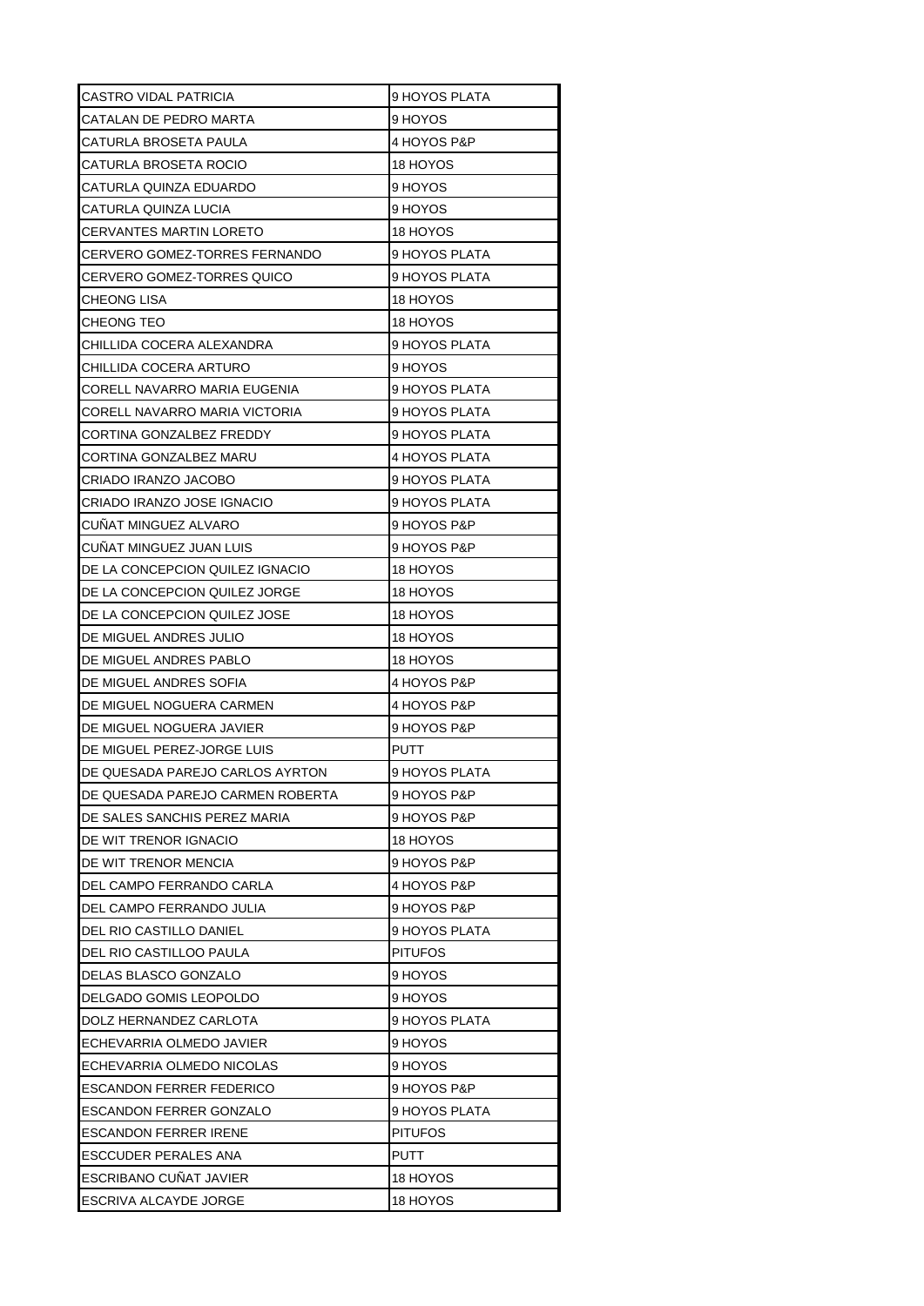| CASTRO VIDAL PATRICIA            | 9 HOYOS PLATA  |
|----------------------------------|----------------|
| CATALAN DE PEDRO MARTA           | 9 HOYOS        |
| CATURLA BROSETA PAULA            | 4 HOYOS P&P    |
| CATURLA BROSETA ROCIO            | 18 HOYOS       |
| CATURLA QUINZA EDUARDO           | 9 HOYOS        |
| CATURLA QUINZA LUCIA             | 9 HOYOS        |
| CERVANTES MARTIN LORETO          | 18 HOYOS       |
| CERVERO GOMEZ-TORRES FERNANDO    | 9 HOYOS PLATA  |
| CERVERO GOMEZ-TORRES QUICO       | 9 HOYOS PLATA  |
| CHEONG LISA                      | 18 HOYOS       |
| CHEONG TEO                       | 18 HOYOS       |
| CHILLIDA COCERA ALEXANDRA        | 9 HOYOS PLATA  |
| CHILLIDA COCERA ARTURO           | 9 HOYOS        |
| CORELL NAVARRO MARIA EUGENIA     | 9 HOYOS PLATA  |
| CORELL NAVARRO MARIA VICTORIA    | 9 HOYOS PLATA  |
| CORTINA GONZALBEZ FREDDY         | 9 HOYOS PLATA  |
| CORTINA GONZALBEZ MARU           | 4 HOYOS PLATA  |
| CRIADO IRANZO JACOBO             | 9 HOYOS PLATA  |
| CRIADO IRANZO JOSE IGNACIO       | 9 HOYOS PLATA  |
| CUNAT MINGUEZ ALVARO             | 9 HOYOS P&P    |
| CUNAT MINGUEZ JUAN LUIS          | 9 HOYOS P&P    |
| DE LA CONCEPCION QUILEZ IGNACIO  | 18 HOYOS       |
| DE LA CONCEPCION QUILEZ JORGE    | 18 HOYOS       |
| DE LA CONCEPCION QUILEZ JOSE     | 18 HOYOS       |
| DE MIGUEL ANDRES JULIO           | 18 HOYOS       |
| DE MIGUEL ANDRES PABLO           | 18 HOYOS       |
| DE MIGUEL ANDRES SOFIA           | 4 HOYOS P&P    |
| DE MIGUEL NOGUERA CARMEN         | 4 HOYOS P&P    |
| DE MIGUEL NOGUERA JAVIER         | 9 HOYOS P&P    |
| DE MIGUEL PEREZ-JORGE LUIS       | PUTT           |
| DE QUESADA PAREJO CARLOS AYRTON  | 9 HOYOS PLATA  |
| DE QUESADA PAREJO CARMEN ROBERTA | 9 HOYOS P&P    |
| DE SALES SANCHIS PEREZ MARIA     | 9 HOYOS P&P    |
| DE WIT TRENOR IGNACIO            | 18 HOYOS       |
| DE WIT TRENOR MENCIA             | 9 HOYOS P&P    |
| DEL CAMPO FERRANDO CARLA         | 4 HOYOS P&P    |
| DEL CAMPO FERRANDO JULIA         | 9 HOYOS P&P    |
| DEL RIO CASTILLO DANIEL          | 9 HOYOS PLATA  |
| DEL RIO CASTILLOO PAULA          | <b>PITUFOS</b> |
| DELAS BLASCO GONZALO             | 9 HOYOS        |
| DELGADO GOMIS LEOPOLDO           | 9 HOYOS        |
| DOLZ HERNANDEZ CARLOTA           | 9 HOYOS PLATA  |
| ECHEVARRIA OLMEDO JAVIER         | 9 HOYOS        |
| ECHEVARRIA OLMEDO NICOLAS        | 9 HOYOS        |
| ESCANDON FERRER FEDERICO         | 9 HOYOS P&P    |
| ESCANDON FERRER GONZALO          | 9 HOYOS PLATA  |
| ESCANDON FERRER IRENE            | <b>PITUFOS</b> |
| ESCCUDER PERALES ANA             | <b>PUTT</b>    |
| <b>ESCRIBANO CUNAT JAVIER</b>    | 18 HOYOS       |
| ESCRIVA ALCAYDE JORGE            | 18 HOYOS       |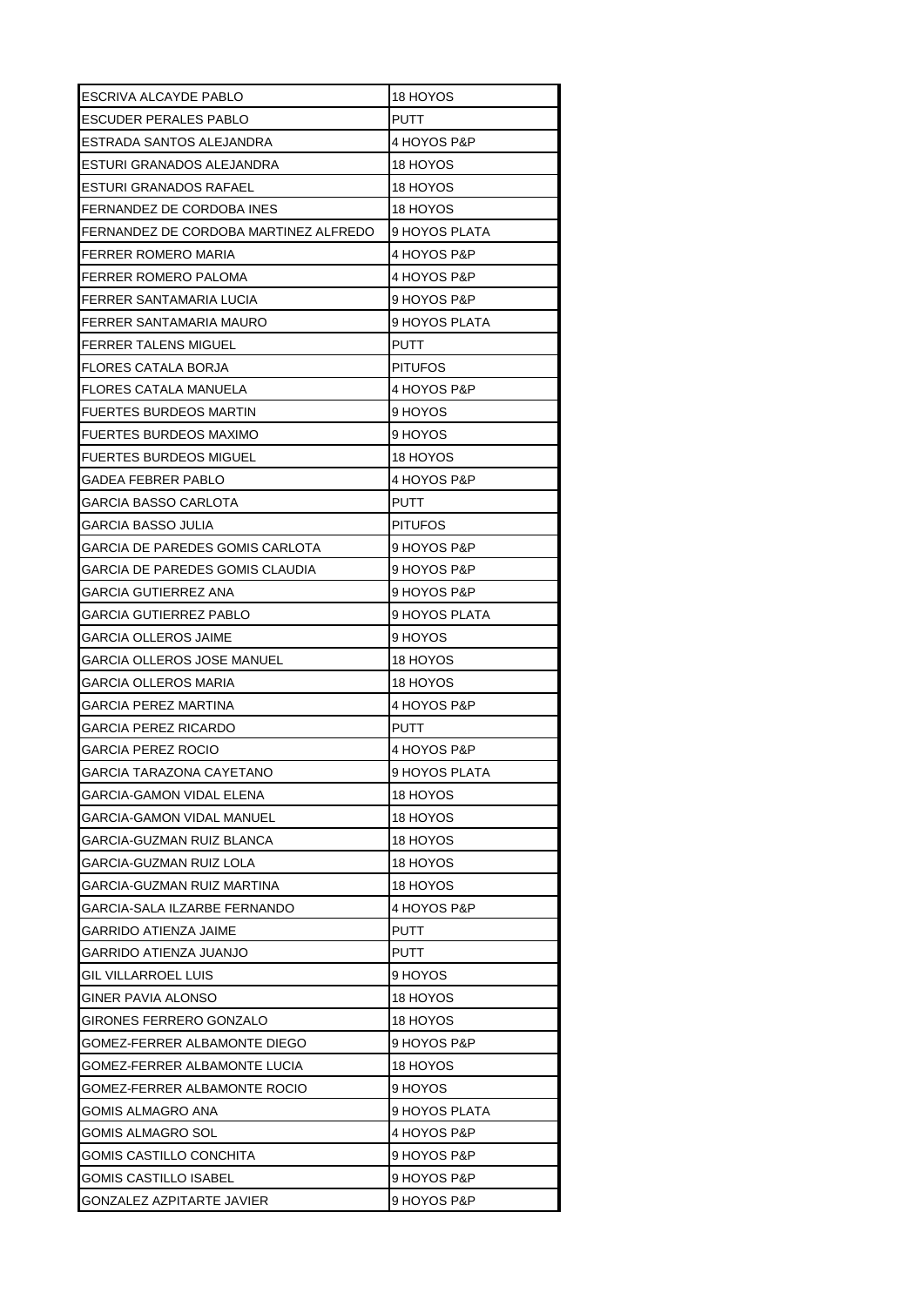| ESCRIVA ALCAYDE PABLO                 | 18 HOYOS       |
|---------------------------------------|----------------|
| ESCUDER PERALES PABLO                 | PUTT           |
| ESTRADA SANTOS ALEJANDRA              | 4 HOYOS P&P    |
| ESTURI GRANADOS ALEJANDRA             | 18 HOYOS       |
| ESTURI GRANADOS RAFAEL                | 18 HOYOS       |
| FERNANDEZ DE CORDOBA INES             | 18 HOYOS       |
| FERNANDEZ DE CORDOBA MARTINEZ ALFREDO | 9 HOYOS PLATA  |
| FERRER ROMERO MARIA                   | 4 HOYOS P&P    |
| FERRER ROMERO PALOMA                  | 4 HOYOS P&P    |
| FERRER SANTAMARIA LUCIA               | 9 HOYOS P&P    |
| FERRER SANTAMARIA MAURO               | 9 HOYOS PLATA  |
| FERRER TALENS MIGUEL                  | PUTT           |
| FLORES CATALA BORJA                   | <b>PITUFOS</b> |
| FLORES CATALA MANUELA                 | 4 HOYOS P&P    |
| <b>FUERTES BURDEOS MARTIN</b>         | 9 HOYOS        |
| FUERTES BURDEOS MAXIMO                | 9 HOYOS        |
| FUERTES BURDEOS MIGUEL                | 18 HOYOS       |
| GADEA FEBRER PABLO                    | 4 HOYOS P&P    |
| GARCIA BASSO CARLOTA                  | PUTT           |
| GARCIA BASSO JULIA                    | <b>PITUFOS</b> |
| GARCIA DE PAREDES GOMIS CARLOTA       | 9 HOYOS P&P    |
| GARCIA DE PAREDES GOMIS CLAUDIA       | 9 HOYOS P&P    |
| GARCIA GUTIERREZ ANA                  | 9 HOYOS P&P    |
| GARCIA GUTIERREZ PABLO                | 9 HOYOS PLATA  |
| GARCIA OLLEROS JAIME                  | 9 HOYOS        |
| GARCIA OLLEROS JOSE MANUEL            | 18 HOYOS       |
| GARCIA OLLEROS MARIA                  | 18 HOYOS       |
| GARCIA PEREZ MARTINA                  | 4 HOYOS P&P    |
| GARCIA PEREZ RICARDO                  | PUTT           |
| <b>GARCIA PEREZ ROCIO</b>             | 4 HOYOS P&P    |
| <b>GARCIA TARAZONA CAYETANO</b>       | 9 HOYOS PLATA  |
| GARCIA-GAMON VIDAL ELENA              | 18 HOYOS       |
| GARCIA-GAMON VIDAL MANUEL             | 18 HOYOS       |
| GARCIA-GUZMAN RUIZ BLANCA             | 18 HOYOS       |
| GARCIA-GUZMAN RUIZ LOLA               | 18 HOYOS       |
| GARCIA-GUZMAN RUIZ MARTINA            | 18 HOYOS       |
| GARCIA-SALA ILZARBE FERNANDO          | 4 HOYOS P&P    |
| GARRIDO ATIENZA JAIME                 | <b>PUTT</b>    |
| GARRIDO ATIENZA JUANJO                | PUTT           |
| GIL VILLARROEL LUIS                   | 9 HOYOS        |
| GINER PAVIA ALONSO                    | 18 HOYOS       |
| GIRONES FERRERO GONZALO               | 18 HOYOS       |
| GOMEZ-FERRER ALBAMONTE DIEGO          | 9 HOYOS P&P    |
| GOMEZ-FERRER ALBAMONTE LUCIA          | 18 HOYOS       |
| GOMEZ-FERRER ALBAMONTE ROCIO          | 9 HOYOS        |
| GOMIS ALMAGRO ANA                     | 9 HOYOS PLATA  |
| GOMIS ALMAGRO SOL                     | 4 HOYOS P&P    |
| GOMIS CASTILLO CONCHITA               | 9 HOYOS P&P    |
| GOMIS CASTILLO ISABEL                 | 9 HOYOS P&P    |
| GONZALEZ AZPITARTE JAVIER             | 9 HOYOS P&P    |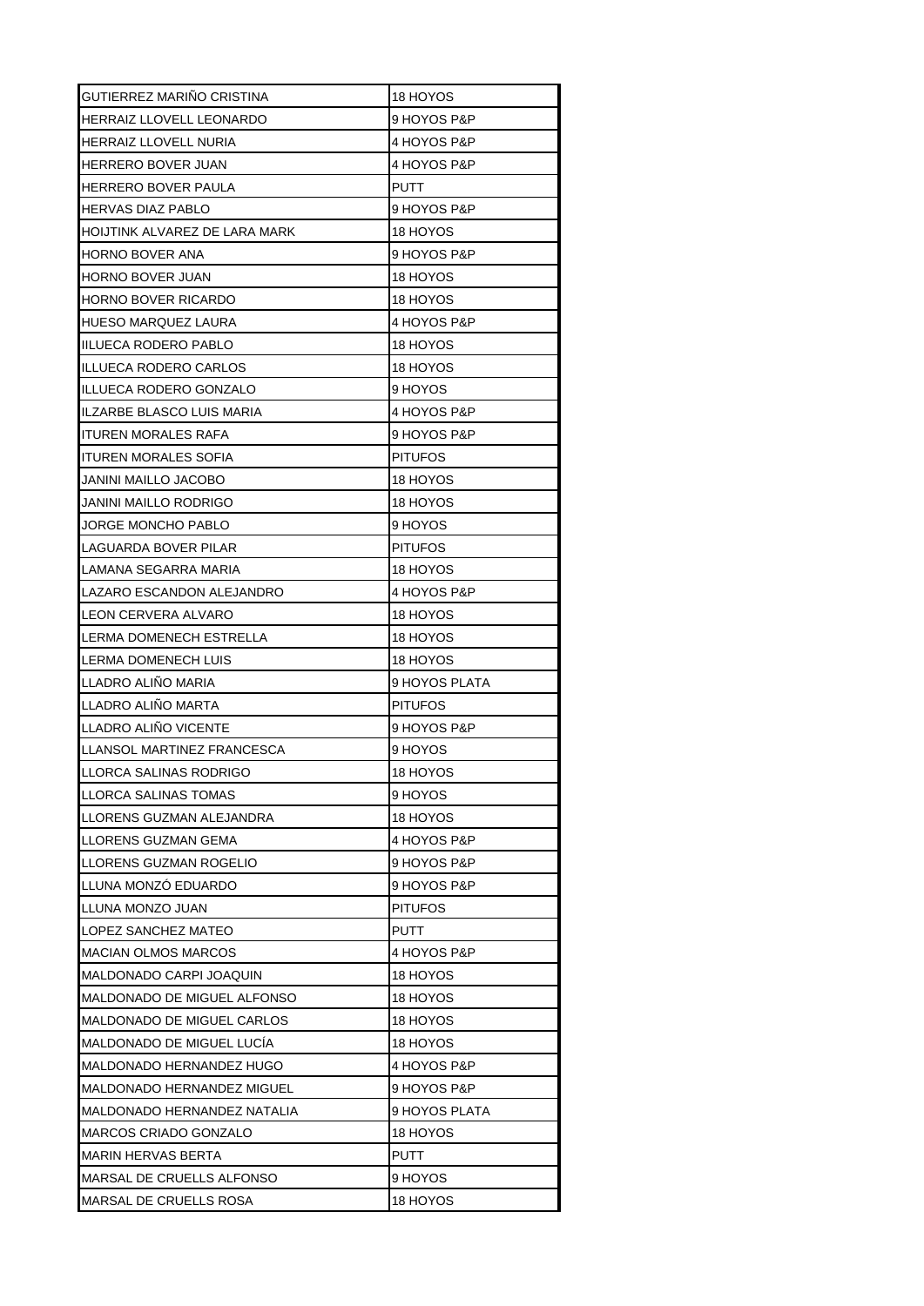| GUTIERREZ MARIÑO CRISTINA                             | 18 HOYOS       |
|-------------------------------------------------------|----------------|
| HERRAIZ LLOVELL LEONARDO                              | 9 HOYOS P&P    |
| <b>HERRAIZ LLOVELL NURIA</b>                          | 4 HOYOS P&P    |
| HERRERO BOVER JUAN                                    | 4 HOYOS P&P    |
| HERRERO BOVER PAULA                                   | PUTT           |
| HERVAS DIAZ PABLO                                     | 9 HOYOS P&P    |
| HOIJTINK ALVAREZ DE LARA MARK                         | 18 HOYOS       |
| HORNO BOVER ANA                                       | 9 HOYOS P&P    |
| HORNO BOVER JUAN                                      | 18 HOYOS       |
| HORNO BOVER RICARDO                                   | 18 HOYOS       |
| HUESO MARQUEZ LAURA                                   | 4 HOYOS P&P    |
| IIILUECA RODERO PABLO                                 | 18 HOYOS       |
| ILLUECA RODERO CARLOS                                 | 18 HOYOS       |
| IILLUECA RODERO GONZALO                               | 9 HOYOS        |
| ILZARBE BLASCO LUIS MARIA                             | 4 HOYOS P&P    |
| <b>ITUREN MORALES RAFA</b>                            | 9 HOYOS P&P    |
| ITUREN MORALES SOFIA                                  | <b>PITUFOS</b> |
| JANINI MAILLO JACOBO                                  | 18 HOYOS       |
| JANINI MAILLO RODRIGO                                 | 18 HOYOS       |
| JORGE MONCHO PABLO                                    | 9 HOYOS        |
| LAGUARDA BOVER PILAR                                  | <b>PITUFOS</b> |
| LAMANA SEGARRA MARIA                                  | 18 HOYOS       |
| LAZARO ESCANDON ALEJANDRO                             | 4 HOYOS P&P    |
| LEON CERVERA ALVARO                                   | 18 HOYOS       |
| ILERMA DOMENECH ESTRELLA                              | 18 HOYOS       |
| LERMA DOMENECH LUIS                                   | 18 HOYOS       |
|                                                       |                |
| LLADRO ALINO MARIA                                    | 9 HOYOS PLATA  |
| LLADRO ALIÑO MARTA                                    | <b>PITUFOS</b> |
| LLADRO ALIÑO VICENTE                                  | 9 HOYOS P&P    |
| ILLANSOL MARTINEZ FRANCESCA                           | 9 HOYOS        |
|                                                       | 18 HOYOS       |
| LLORCA SALINAS TOMAS                                  | 9 HOYOS        |
| LLORENS GUZMAN ALEJANDRA                              | 18 HOYOS       |
| LLORENS GUZMAN GEMA                                   | 4 HOYOS P&P    |
| LLORENS GUZMAN ROGELIO                                | 9 HOYOS P&P    |
| LLUNA MONZO EDUARDO                                   | 9 HOYOS P&P    |
| LLUNA MONZO JUAN                                      | <b>PITUFOS</b> |
| LOPEZ SANCHEZ MATEO                                   | PUTT           |
| <b>MACIAN OLMOS MARCOS</b>                            | 4 HOYOS P&P    |
| MALDONADO CARPI JOAQUIN                               | 18 HOYOS       |
| LLORCA SALINAS RODRIGO<br>MALDONADO DE MIGUEL ALFONSO | 18 HOYOS       |
| MALDONADO DE MIGUEL CARLOS                            | 18 HOYOS       |
| MALDONADO DE MIGUEL LUCIA                             | 18 HOYOS       |
| MALDONADO HERNANDEZ HUGO                              | 4 HOYOS P&P    |
| MALDONADO HERNANDEZ MIGUEL                            | 9 HOYOS P&P    |
| MALDONADO HERNANDEZ NATALIA                           | 9 HOYOS PLATA  |
| MARCOS CRIADO GONZALO                                 | 18 HOYOS       |
| <b>MARIN HERVAS BERTA</b>                             | <b>PUTT</b>    |
| MARSAL DE CRUELLS ALFONSO                             | 9 HOYOS        |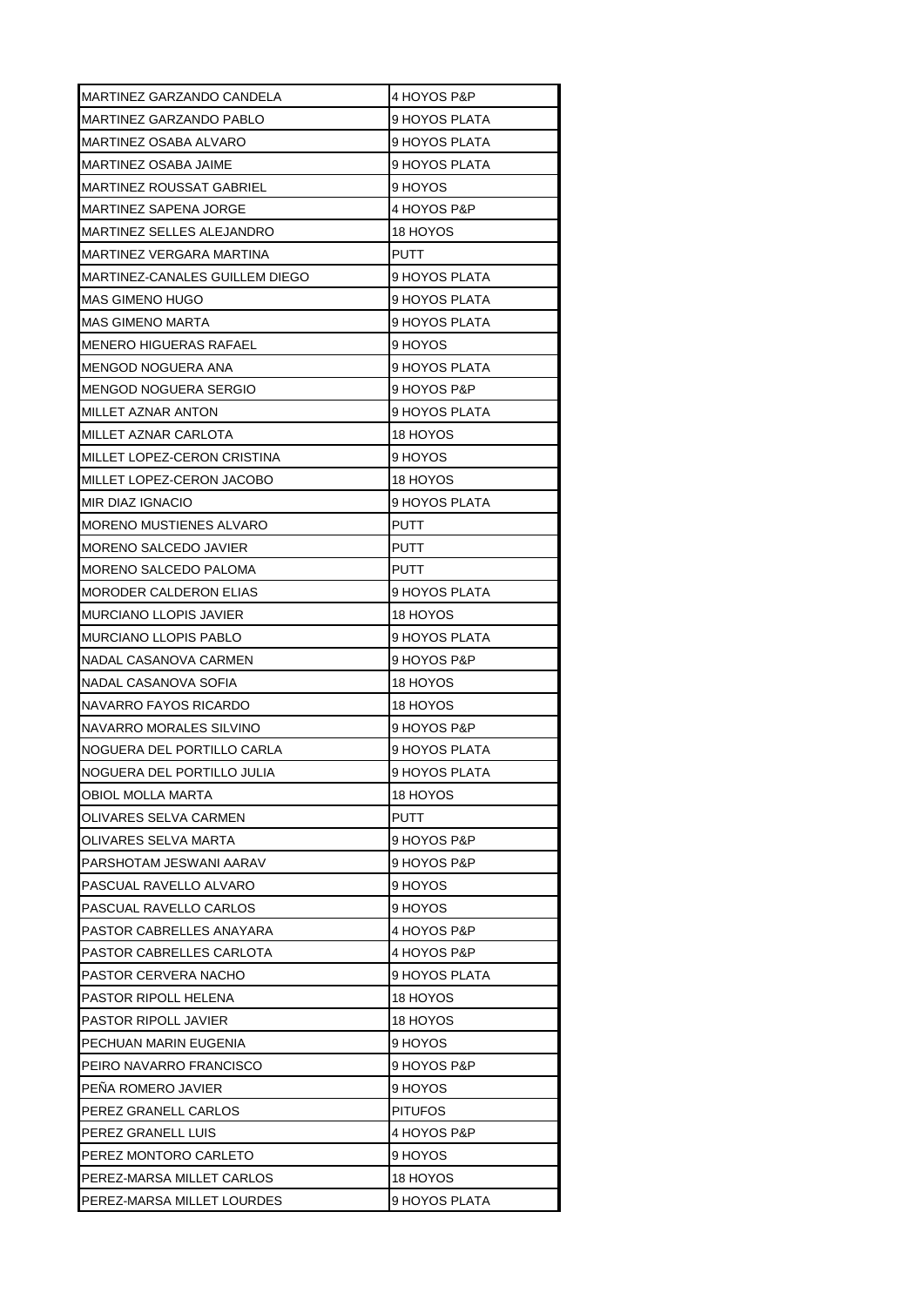| MARTINEZ GARZANDO CANDELA      | 4 HOYOS P&P    |
|--------------------------------|----------------|
| MARTINEZ GARZANDO PABLO        | 9 HOYOS PLATA  |
| MARTINEZ OSABA ALVARO          | 9 HOYOS PLATA  |
| MARTINEZ OSABA JAIME           | 9 HOYOS PLATA  |
| MARTINEZ ROUSSAT GABRIEL       | 9 HOYOS        |
| MARTINEZ SAPENA JORGE          | 4 HOYOS P&P    |
| MARTINEZ SELLES ALEJANDRO      | 18 HOYOS       |
| MARTINEZ VERGARA MARTINA       | <b>PUTT</b>    |
| MARTINEZ-CANALES GUILLEM DIEGO | 9 HOYOS PLATA  |
| MAS GIMENO HUGO                | 9 HOYOS PLATA  |
| MAS GIMENO MARTA               | 9 HOYOS PLATA  |
| MENERO HIGUERAS RAFAEL         | 9 HOYOS        |
| MENGOD NOGUERA ANA             | 9 HOYOS PLATA  |
| MENGOD NOGUERA SERGIO          | 9 HOYOS P&P    |
| MILLET AZNAR ANTON             | 9 HOYOS PLATA  |
| MILLET AZNAR CARLOTA           | 18 HOYOS       |
| MILLET LOPEZ-CERON CRISTINA    | 9 HOYOS        |
| MILLET LOPEZ-CERON JACOBO      | 18 HOYOS       |
| <b>MIR DIAZ IGNACIO</b>        | 9 HOYOS PLATA  |
| MORENO MUSTIENES ALVARO        | PUTT           |
| MORENO SALCEDO JAVIER          | PUTT           |
| MORENO SALCEDO PALOMA          | <b>PUTT</b>    |
| <b>MORODER CALDERON ELIAS</b>  | 9 HOYOS PLATA  |
| <b>MURCIANO LLOPIS JAVIER</b>  | 18 HOYOS       |
| <b>MURCIANO LLOPIS PABLO</b>   | 9 HOYOS PLATA  |
| NADAL CASANOVA CARMEN          | 9 HOYOS P&P    |
| NADAL CASANOVA SOFIA           | 18 HOYOS       |
| NAVARRO FAYOS RICARDO          | 18 HOYOS       |
| NAVARRO MORALES SILVINO        | 9 HOYOS P&P    |
| NOGUERA DEL PORTILLO CARLA     | 9 HOYOS PLATA  |
| NOGUERA DEL PORTILLO JULIA     | 9 HOYOS PLATA  |
| OBIOL MOLLA MARTA              | 18 HOYOS       |
| OLIVARES SELVA CARMEN          | PUTT           |
| OLIVARES SELVA MARTA           | 9 HOYOS P&P    |
| PARSHOTAM JESWANI AARAV        | 9 HOYOS P&P    |
| PASCUAL RAVELLO ALVARO         | 9 HOYOS        |
| PASCUAL RAVELLO CARLOS         | 9 HOYOS        |
| PASTOR CABRELLES ANAYARA       | 4 HOYOS P&P    |
| PASTOR CABRELLES CARLOTA       | 4 HOYOS P&P    |
| PASTOR CERVERA NACHO           | 9 HOYOS PLATA  |
| PASTOR RIPOLL HELENA           | 18 HOYOS       |
| PASTOR RIPOLL JAVIER           | 18 HOYOS       |
| PECHUAN MARIN EUGENIA          | 9 HOYOS        |
| PEIRO NAVARRO FRANCISCO        | 9 HOYOS P&P    |
| PENA ROMERO JAVIER             | 9 HOYOS        |
| PEREZ GRANELL CARLOS           | <b>PITUFOS</b> |
| PEREZ GRANELL LUIS             | 4 HOYOS P&P    |
| PEREZ MONTORO CARLETO          | 9 HOYOS        |
| PEREZ-MARSA MILLET CARLOS      | 18 HOYOS       |
| PEREZ-MARSA MILLET LOURDES     | 9 HOYOS PLATA  |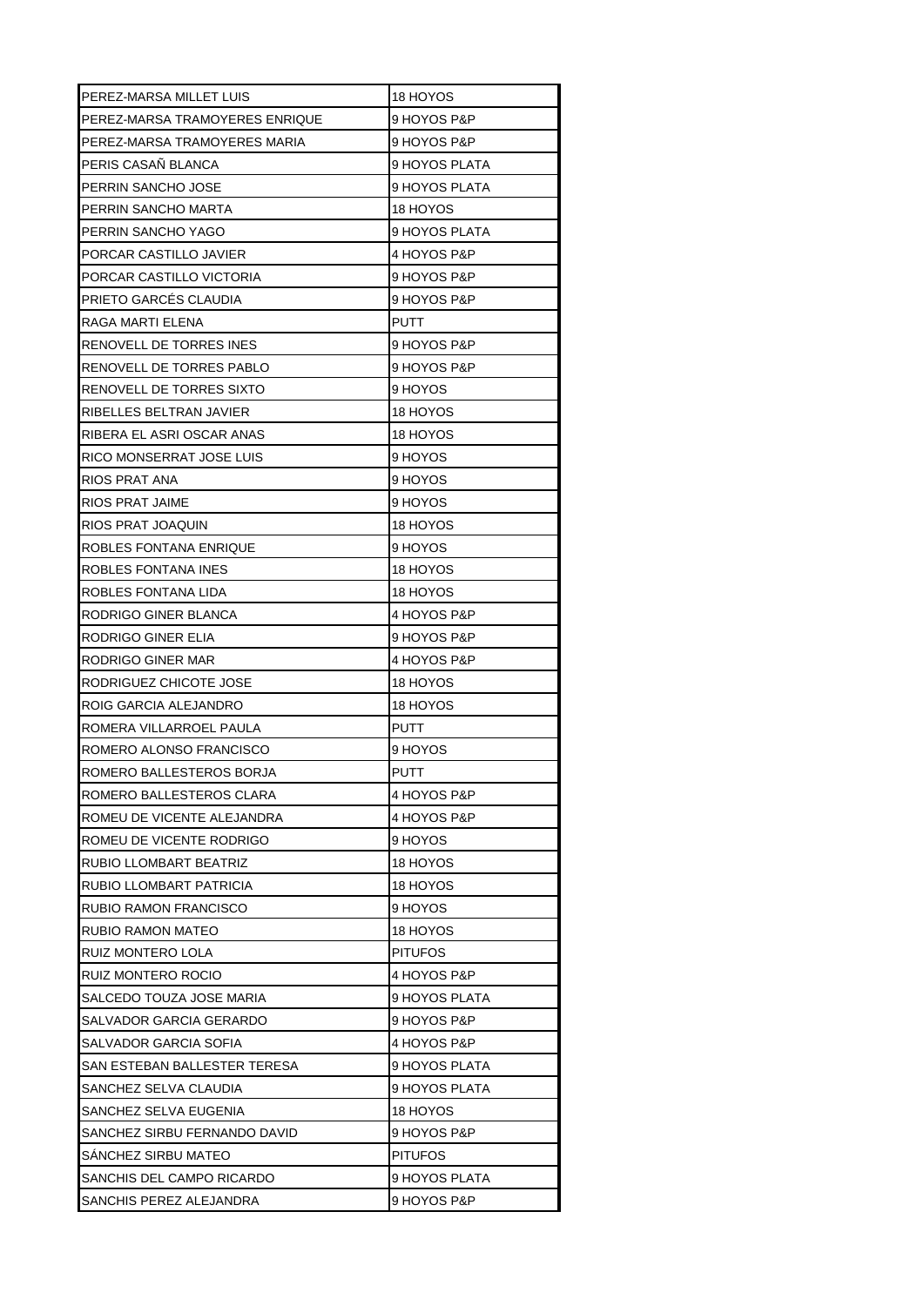| PEREZ-MARSA MILLET LUIS        | 18 HOYOS       |
|--------------------------------|----------------|
| PEREZ-MARSA TRAMOYERES ENRIQUE | 9 HOYOS P&P    |
| PEREZ-MARSA TRAMOYERES MARIA   | 9 HOYOS P&P    |
| PERIS CASAÑ BLANCA             | 9 HOYOS PLATA  |
| PERRIN SANCHO JOSE             | 9 HOYOS PLATA  |
| PERRIN SANCHO MARTA            | 18 HOYOS       |
| PERRIN SANCHO YAGO             | 9 HOYOS PLATA  |
| PORCAR CASTILLO JAVIER         | 4 HOYOS P&P    |
| PORCAR CASTILLO VICTORIA       | 9 HOYOS P&P    |
| PRIETO GARCÉS CLAUDIA          | 9 HOYOS P&P    |
| RAGA MARTI ELENA               | PUTT           |
| RENOVELL DE TORRES INES        | 9 HOYOS P&P    |
| RENOVELL DE TORRES PABLO       | 9 HOYOS P&P    |
| RENOVELL DE TORRES SIXTO       | 9 HOYOS        |
| RIBELLES BELTRAN JAVIER        | 18 HOYOS       |
| RIBERA EL ASRI OSCAR ANAS      | 18 HOYOS       |
| RICO MONSERRAT JOSE LUIS       | 9 HOYOS        |
| RIOS PRAT ANA                  | 9 HOYOS        |
| <b>RIOS PRAT JAIME</b>         | 9 HOYOS        |
| RIOS PRAT JOAQUIN              | 18 HOYOS       |
| ROBLES FONTANA ENRIQUE         | 9 HOYOS        |
| ROBLES FONTANA INES            | 18 HOYOS       |
| ROBLES FONTANA LIDA            | 18 HOYOS       |
| RODRIGO GINER BLANCA           | 4 HOYOS P&P    |
| RODRIGO GINER ELIA             | 9 HOYOS P&P    |
| RODRIGO GINER MAR              | 4 HOYOS P&P    |
| RODRIGUEZ CHICOTE JOSE         | 18 HOYOS       |
| ROIG GARCIA ALEJANDRO          | 18 HOYOS       |
| ROMERA VILLARROEL PAULA        | PUTT           |
| ROMERO ALONSO FRANCISCO        | 9 HOYOS        |
| ROMERO BALLESTEROS BORJA       | PUTT           |
| ROMERO BALLESTEROS CLARA       | 4 HOYOS P&P    |
| ROMEU DE VICENTE ALEJANDRA     | 4 HOYOS P&P    |
| ROMEU DE VICENTE RODRIGO       | 9 HOYOS        |
| RUBIO LLOMBART BEATRIZ         | 18 HOYOS       |
| RUBIO LLOMBART PATRICIA        | 18 HOYOS       |
| <b>RUBIO RAMON FRANCISCO</b>   | 9 HOYOS        |
| RUBIO RAMON MATEO              | 18 HOYOS       |
| RUIZ MONTERO LOLA              | <b>PITUFOS</b> |
| RUIZ MONTERO ROCIO             | 4 HOYOS P&P    |
| SALCEDO TOUZA JOSE MARIA       | 9 HOYOS PLATA  |
| SALVADOR GARCIA GERARDO        | 9 HOYOS P&P    |
| SALVADOR GARCIA SOFIA          | 4 HOYOS P&P    |
| SAN ESTEBAN BALLESTER TERESA   | 9 HOYOS PLATA  |
| SANCHEZ SELVA CLAUDIA          | 9 HOYOS PLATA  |
| SANCHEZ SELVA EUGENIA          | 18 HOYOS       |
| SANCHEZ SIRBU FERNANDO DAVID   | 9 HOYOS P&P    |
| SANCHEZ SIRBU MATEO            | <b>PITUFOS</b> |
| SANCHIS DEL CAMPO RICARDO      | 9 HOYOS PLATA  |
| SANCHIS PEREZ ALEJANDRA        | 9 HOYOS P&P    |